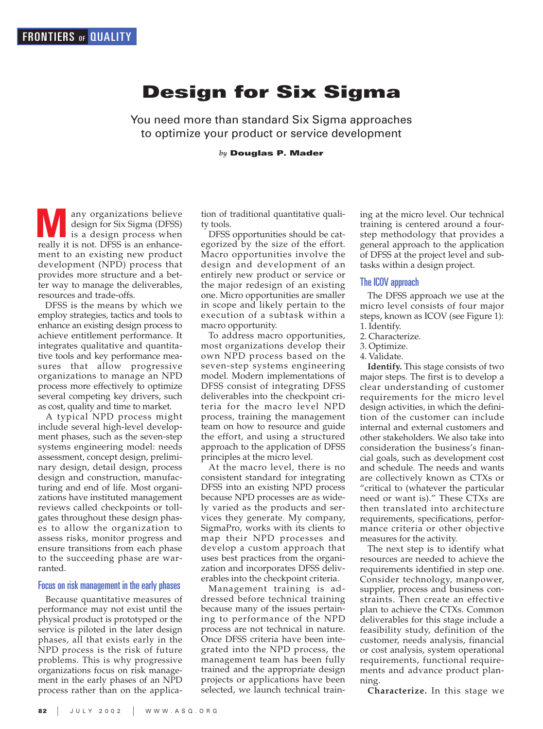# **Design for Six Sigma**

You need more than standard Six Sigma approaches to optimize your product or service development

*by* **Douglas P. Mader**

any organizations believe design for Six Sigma (DFSS) is a design process when **M** any organizations believe<br>design for Six Sigma (DFSS)<br>is a design process when<br>really it is not. DFSS is an enhancement to an existing new product development (NPD) process that provides more structure and a better way to manage the deliverables, resources and trade-offs.

DFSS is the means by which we employ strategies, tactics and tools to enhance an existing design process to achieve entitlement performance. It integrates qualitative and quantitative tools and key performance measures that allow progressive organizations to manage an NPD process more effectively to optimize several competing key drivers, such as cost, quality and time to market.

A typical NPD process might include several high-level development phases, such as the seven-step systems engineering model: needs assessment, concept design, preliminary design, detail design, process design and construction, manufacturing and end of life. Most organizations have instituted management reviews called checkpoints or tollgates throughout these design phases to allow the organization to assess risks, monitor progress and ensure transitions from each phase to the succeeding phase are warranted.

## Focus on risk management in the early phases

Because quantitative measures of performance may not exist until the physical product is prototyped or the service is piloted in the later design phases, all that exists early in the NPD process is the risk of future problems. This is why progressive organizations focus on risk management in the early phases of an NPD process rather than on the application of traditional quantitative quality tools.

DFSS opportunities should be categorized by the size of the effort. Macro opportunities involve the design and development of an entirely new product or service or the major redesign of an existing one. Micro opportunities are smaller in scope and likely pertain to the execution of a subtask within a macro opportunity.

To address macro opportunities, most organizations develop their own NPD process based on the seven-step systems engineering model. Modern implementations of DFSS consist of integrating DFSS deliverables into the checkpoint criteria for the macro level NPD process, training the management team on how to resource and guide the effort, and using a structured approach to the application of DFSS principles at the micro level.

At the macro level, there is no consistent standard for integrating DFSS into an existing NPD process because NPD processes are as widely varied as the products and services they generate. My company, SigmaPro, works with its clients to map their NPD processes and develop a custom approach that uses best practices from the organization and incorporates DFSS deliverables into the checkpoint criteria.

Management training is addressed before technical training because many of the issues pertaining to performance of the NPD process are not technical in nature. Once DFSS criteria have been integrated into the NPD process, the management team has been fully trained and the appropriate design projects or applications have been selected, we launch technical training at the micro level. Our technical training is centered around a fourstep methodology that provides a general approach to the application of DFSS at the project level and subtasks within a design project.

## The ICOV approach

The DFSS approach we use at the micro level consists of four major steps, known as ICOV (see Figure 1): 1. Identify.

- 2. Characterize.
- 3. Optimize.
- 4. Validate.

**Identify.** This stage consists of two major steps. The first is to develop a clear understanding of customer requirements for the micro level design activities, in which the definition of the customer can include internal and external customers and other stakeholders. We also take into consideration the business's financial goals, such as development cost and schedule. The needs and wants are collectively known as CTXs or "critical to (whatever the particular need or want is)." These CTXs are then translated into architecture requirements, specifications, performance criteria or other objective measures for the activity.

The next step is to identify what resources are needed to achieve the requirements identified in step one. Consider technology, manpower, supplier, process and business constraints. Then create an effective plan to achieve the CTXs. Common deliverables for this stage include a feasibility study, definition of the customer, needs analysis, financial or cost analysis, system operational requirements, functional requirements and advance product planning.

**Characterize.** In this stage we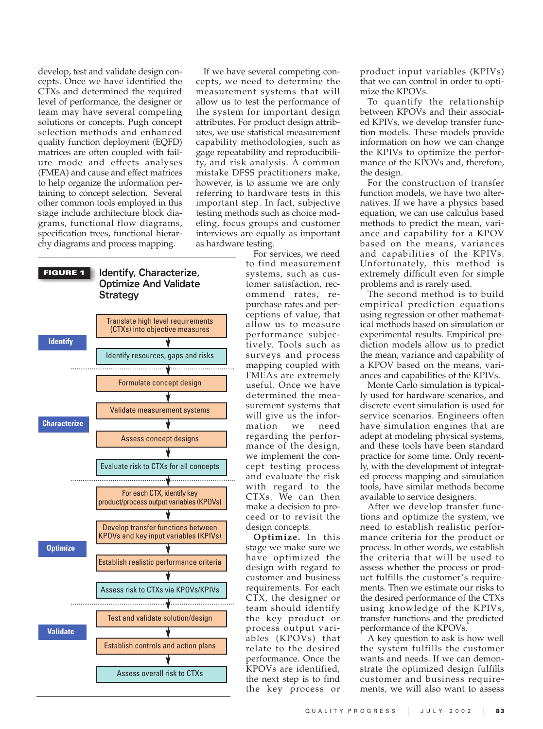develop, test and validate design concepts. Once we have identified the CTXs and determined the required level of performance, the designer or team may have several competing solutions or concepts. Pugh concept selection methods and enhanced quality function deployment (EQFD) matrices are often coupled with failure mode and effects analyses (FMEA) and cause and effect matrices to help organize the information pertaining to concept selection. Several other common tools employed in this stage include architecture block diagrams, functional flow diagrams, specification trees, functional hierarchy diagrams and process mapping.

If we have several competing concepts, we need to determine the measurement systems that will allow us to test the performance of the system for important design attributes. For product design attributes, we use statistical measurement capability methodologies, such as gage repeatability and reproducibility, and risk analysis. A common mistake DFSS practitioners make, however, is to assume we are only referring to hardware tests in this important step. In fact, subjective testing methods such as choice modeling, focus groups and customer interviews are equally as important as hardware testing.



For services, we need to find measurement systems, such as customer satisfaction, recommend rates, repurchase rates and perceptions of value, that allow us to measure performance subjectively. Tools such as surveys and process mapping coupled with FMEAs are extremely useful. Once we have determined the measurement systems that will give us the information we need regarding the performance of the design, we implement the concept testing process and evaluate the risk with regard to the CTXs. We can then make a decision to proceed or to revisit the design concepts.

**Optimize.** In this stage we make sure we have optimized the design with regard to customer and business requirements. For each CTX, the designer or team should identify the key product or process output variables (KPOVs) that relate to the desired performance. Once the KPOVs are identified, the next step is to find the key process or

product input variables (KPIVs) that we can control in order to optimize the KPOVs.

To quantify the relationship between KPOVs and their associated KPIVs, we develop transfer function models. These models provide information on how we can change the KPIVs to optimize the performance of the KPOVs and, therefore, the design.

For the construction of transfer function models, we have two alternatives. If we have a physics based equation, we can use calculus based methods to predict the mean, variance and capability for a KPOV based on the means, variances and capabilities of the KPIVs. Unfortunately, this method is extremely difficult even for simple problems and is rarely used.

The second method is to build empirical prediction equations using regression or other mathematical methods based on simulation or experimental results. Empirical prediction models allow us to predict the mean, variance and capability of a KPOV based on the means, variances and capabilities of the KPIVs.

Monte Carlo simulation is typically used for hardware scenarios, and discrete event simulation is used for service scenarios. Engineers often have simulation engines that are adept at modeling physical systems, and these tools have been standard practice for some time. Only recently, with the development of integrated process mapping and simulation tools, have similar methods become available to service designers.

After we develop transfer functions and optimize the system, we need to establish realistic performance criteria for the product or process. In other words, we establish the criteria that will be used to assess whether the process or product fulfills the customer's requirements. Then we estimate our risks to the desired performance of the CTXs using knowledge of the KPIVs, transfer functions and the predicted performance of the KPOVs.

A key question to ask is how well the system fulfills the customer wants and needs. If we can demonstrate the optimized design fulfills customer and business requirements, we will also want to assess